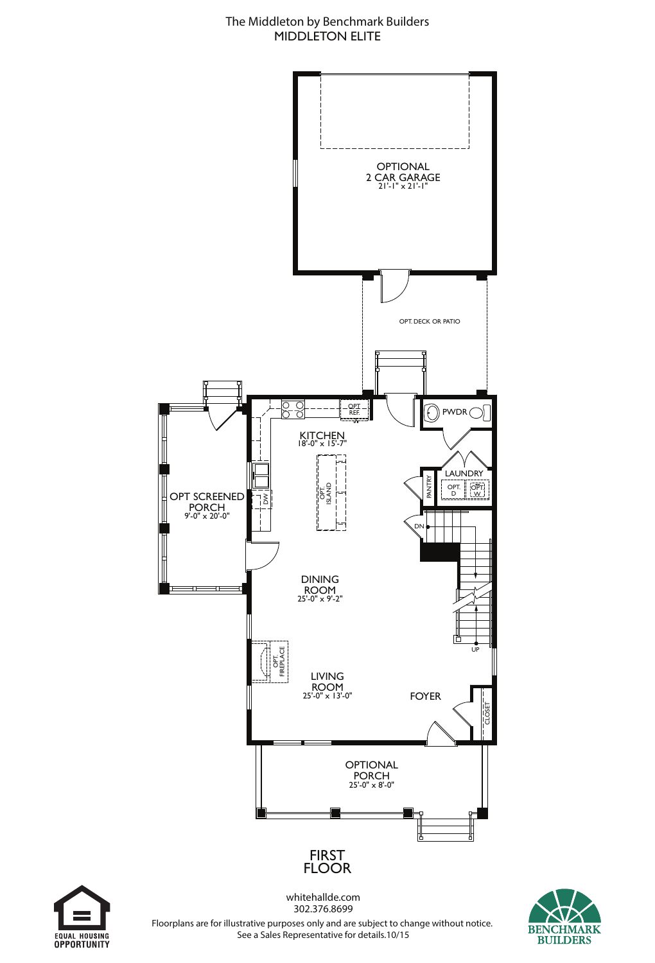



whitehallde.com 302.376.8699



Floorplans are for illustrative purposes only and are subject to change without notice. See a Sales Representative for details.10/15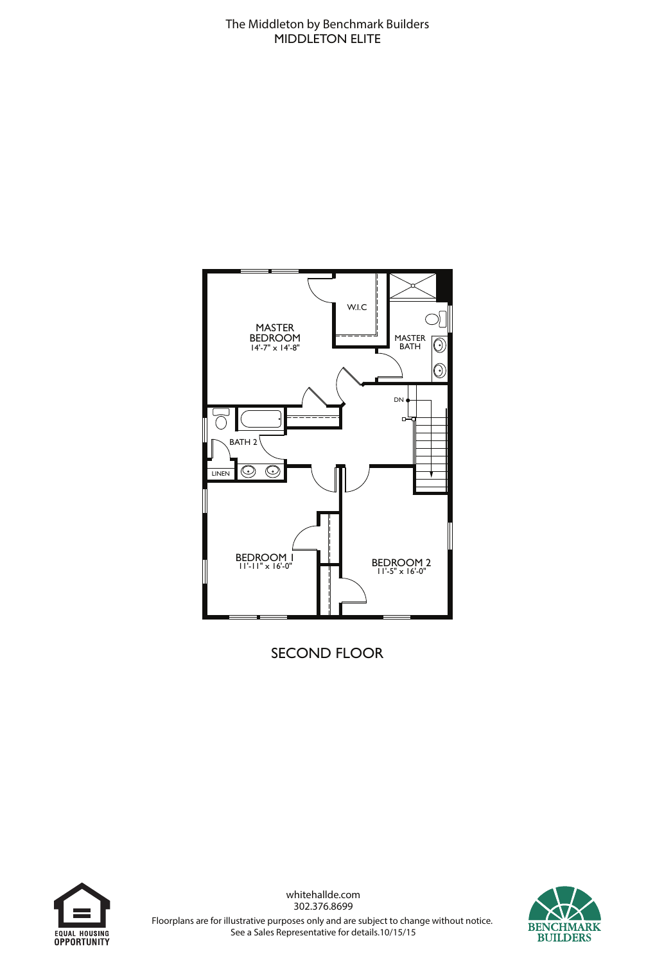

SECOND FLOOR





whitehallde.com 302.376.8699 Floorplans are for illustrative purposes only and are subject to change without notice. See a Sales Representative for details.10/15/15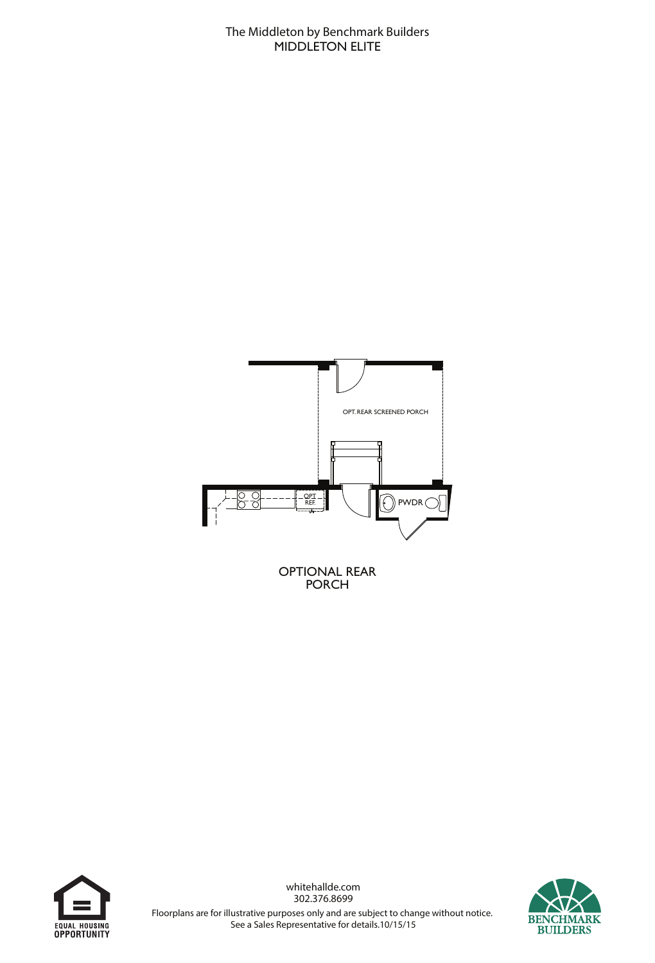

OPTIONAL REAR PORCH





302.376.8699 Floorplans are for illustrative purposes only and are subject to change without notice.

See a Sales Representative for details.10/15/15

whitehallde.com